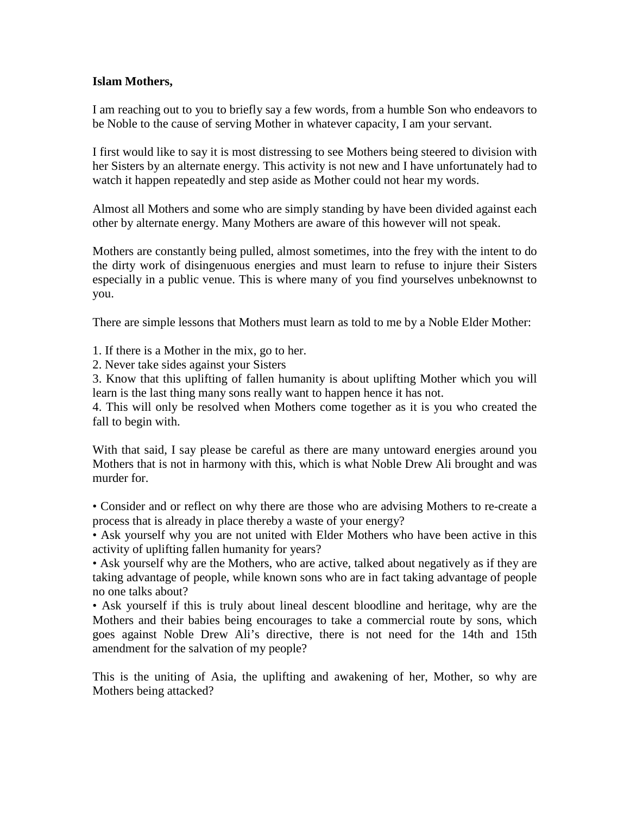## **Islam Mothers,**

I am reaching out to you to briefly say a few words, from a humble Son who endeavors to be Noble to the cause of serving Mother in whatever capacity, I am your servant.

I first would like to say it is most distressing to see Mothers being steered to division with her Sisters by an alternate energy. This activity is not new and I have unfortunately had to watch it happen repeatedly and step aside as Mother could not hear my words.

Almost all Mothers and some who are simply standing by have been divided against each other by alternate energy. Many Mothers are aware of this however will not speak.

Mothers are constantly being pulled, almost sometimes, into the frey with the intent to do the dirty work of disingenuous energies and must learn to refuse to injure their Sisters especially in a public venue. This is where many of you find yourselves unbeknownst to you.

There are simple lessons that Mothers must learn as told to me by a Noble Elder Mother:

1. If there is a Mother in the mix, go to her.

2. Never take sides against your Sisters

3. Know that this uplifting of fallen humanity is about uplifting Mother which you will learn is the last thing many sons really want to happen hence it has not.

4. This will only be resolved when Mothers come together as it is you who created the fall to begin with.

With that said, I say please be careful as there are many untoward energies around you Mothers that is not in harmony with this, which is what Noble Drew Ali brought and was murder for.

• Consider and or reflect on why there are those who are advising Mothers to re-create a process that is already in place thereby a waste of your energy?

• Ask yourself why you are not united with Elder Mothers who have been active in this activity of uplifting fallen humanity for years?

• Ask yourself why are the Mothers, who are active, talked about negatively as if they are taking advantage of people, while known sons who are in fact taking advantage of people no one talks about?

• Ask yourself if this is truly about lineal descent bloodline and heritage, why are the Mothers and their babies being encourages to take a commercial route by sons, which goes against Noble Drew Ali's directive, there is not need for the 14th and 15th amendment for the salvation of my people?

This is the uniting of Asia, the uplifting and awakening of her, Mother, so why are Mothers being attacked?